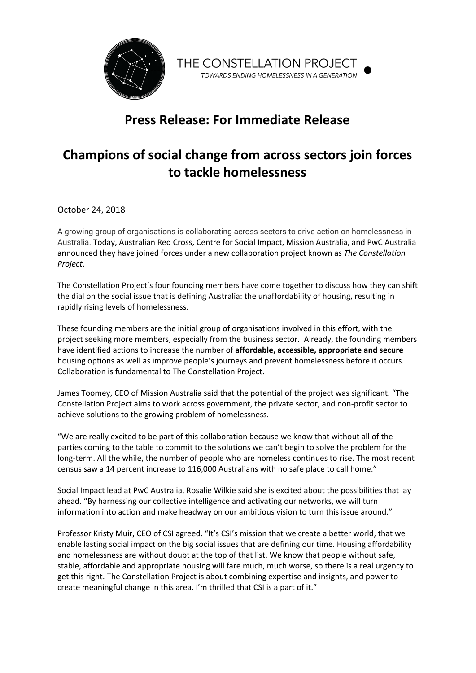



## **Press Release: For Immediate Release**

## **Champions of social change from across sectors join forces to tackle homelessness**

October 24, 2018

A growing group of organisations is collaborating across sectors to drive action on homelessness in Australia. Today, Australian Red Cross, Centre for Social Impact, Mission Australia, and PwC Australia announced they have joined forces under a new collaboration project known as *The Constellation Project*.

The Constellation Project's four founding members have come together to discuss how they can shift the dial on the social issue that is defining Australia: the unaffordability of housing, resulting in rapidly rising levels of homelessness.

These founding members are the initial group of organisations involved in this effort, with the project seeking more members, especially from the business sector. Already, the founding members have identified actions to increase the number of **affordable, accessible, appropriate and secure** housing options as well as improve people's journeys and prevent homelessness before it occurs. Collaboration is fundamental to The Constellation Project.

James Toomey, CEO of Mission Australia said that the potential of the project was significant. "The Constellation Project aims to work across government, the private sector, and non-profit sector to achieve solutions to the growing problem of homelessness.

"We are really excited to be part of this collaboration because we know that without all of the parties coming to the table to commit to the solutions we can't begin to solve the problem for the long-term. All the while, the number of people who are homeless continues to rise. The most recent census saw a 14 percent increase to 116,000 Australians with no safe place to call home."

Social Impact lead at PwC Australia, Rosalie Wilkie said she is excited about the possibilities that lay ahead. "By harnessing our collective intelligence and activating our networks, we will turn information into action and make headway on our ambitious vision to turn this issue around."

Professor Kristy Muir, CEO of CSI agreed. "It's CSI's mission that we create a better world, that we enable lasting social impact on the big social issues that are defining our time. Housing affordability and homelessness are without doubt at the top of that list. We know that people without safe, stable, affordable and appropriate housing will fare much, much worse, so there is a real urgency to get this right. The Constellation Project is about combining expertise and insights, and power to create meaningful change in this area. I'm thrilled that CSI is a part of it."